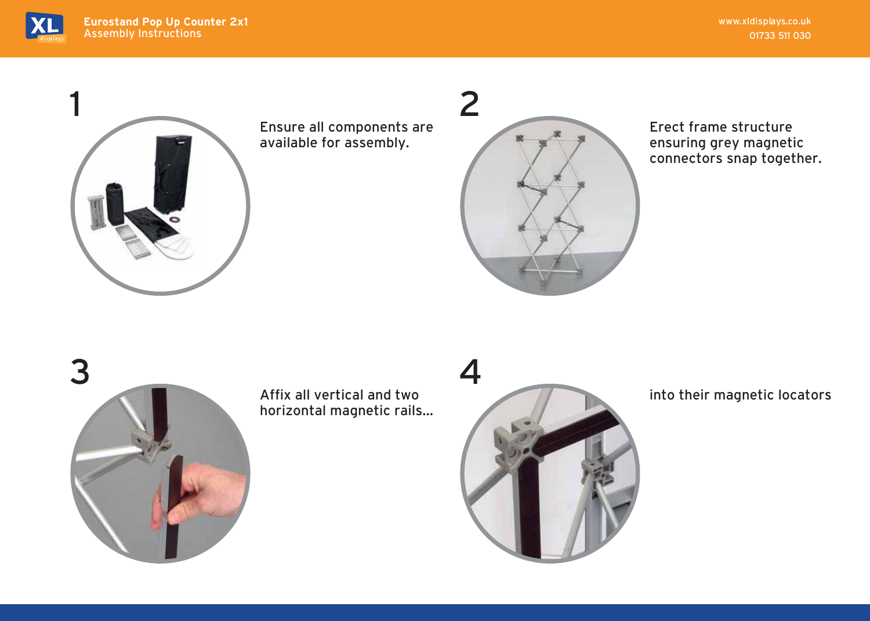



Ensure all components are available for assembly.



Erect frame structure ensuring grey magnetic connectors snap together.



Affix all vertical and two horizontal magnetic rails...



into their magnetic locators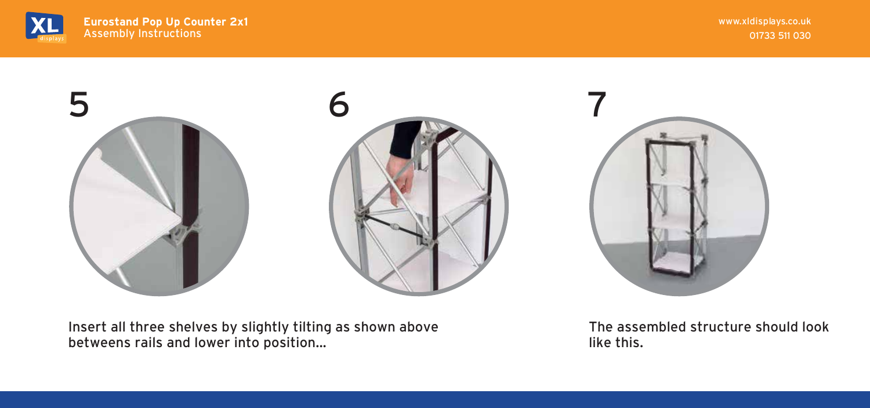

www.xldisplays.co.uk 01733 511 030







Insert all three shelves by slightly tilting betweens rails and lower into position... as shown above The assembled structure should look like this.